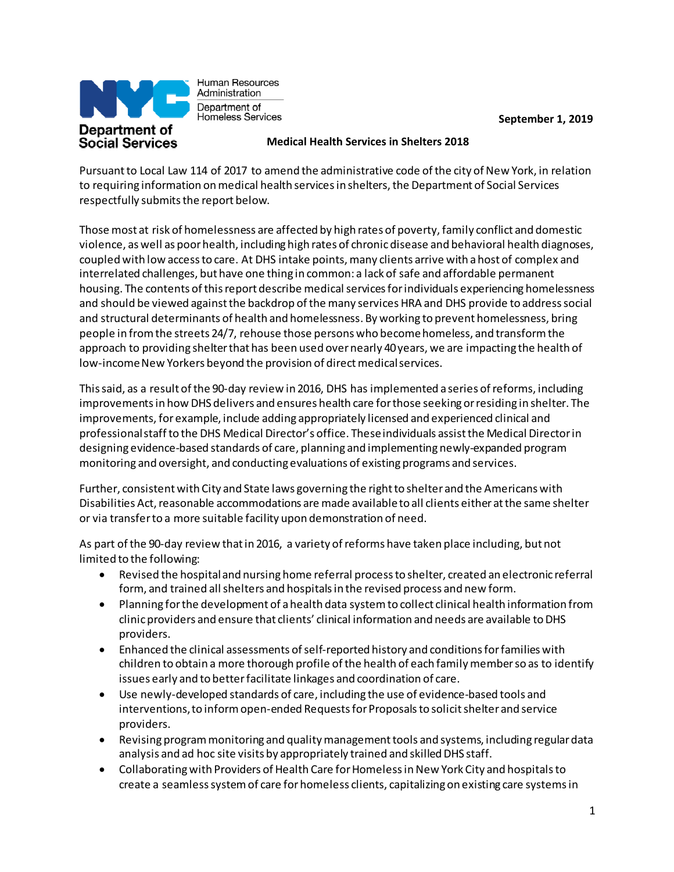

Human Resources Administration Department of Homeless Services

**September 1, 2019**

## **Medical Health Services in Shelters 2018**

Pursuantto Local Law 114 of 2017 to amend the administrative code ofthe city of New York, in relation to requiring information on medical health services in shelters, the Department of Social Services respectfully submits the report below.

Those most at risk of homelessness are affected by high rates of poverty, family conflict and domestic violence, aswell as poorhealth, including high rates of chronicdisease and behavioral health diagnoses, coupled with low accessto care. At DHS intake points,many clients arrive with ahost of complex and interrelated challenges, but have one thing in common: a lack of safe and affordable permanent housing. The contents of this report describe medical services for individuals experiencing homelessness and should be viewed against the backdrop of the many services HRA and DHS provide to address social and structural determinants of health and homelessness. By working to prevent homelessness, bring people in fromthe streets 24/7, rehouse those persons who becomehomeless, and transformthe approach to providing shelterthat has been used overnearly 40years, we are impacting the health of low-income New Yorkers beyond the provision of direct medical services.

Thissaid, as a result ofthe 90-day review in 2016, DHS has implemented a series ofreforms, including improvementsin how DHS delivers and ensures health care forthose seeking orresiding in shelter. The improvements, forexample, include adding appropriately licensed and experienced clinical and professionalstaffto the DHS Medical Director's office. Theseindividuals assistthe Medical Directorin designing evidence‐based standards of care, planning and implementing newly‐expanded program monitoring and oversight, and conducting evaluations of existing programs and services.

Further, consistent with City and State laws governing the right to shelter and the Americans with Disabilities Act, reasonable accommodations are made available to all clients either at the same shelter or via transferto a more suitable facility upon demonstration of need.

As part of the 90-day review that in 2016, a variety of reforms have taken place including, but not limited to the following:

- Revised the hospitaland nursing home referral processto shelter, created an electronic referral form, and trained all shelters and hospitals in the revised process and new form.
- Planning forthe development of ahealth data systemto collect clinical health information from clinicproviders and ensure that clients' clinical information and needs are available toDHS providers.
- Enhanced the clinical assessments of self-reported history and conditions for families with children to obtain a more thorough profile of the health of each family member so as to identify issues early and to betterfacilitate linkages and coordination of care.
- Use newly-developed standards of care, including the use of evidence-based tools and interventions, to inform open-ended Requests for Proposals to solicit shelter and service providers.
- Revising programmonitoring and qualitymanagementtools and systems, including regulardata analysis and ad hoc site visits by appropriately trained and skilled DHS staff.
- Collaborating with Providers of Health Care for Homeless in New York City and hospitals to create a seamlesssystemof care forhomeless clients, capitalizing on existing care systemsin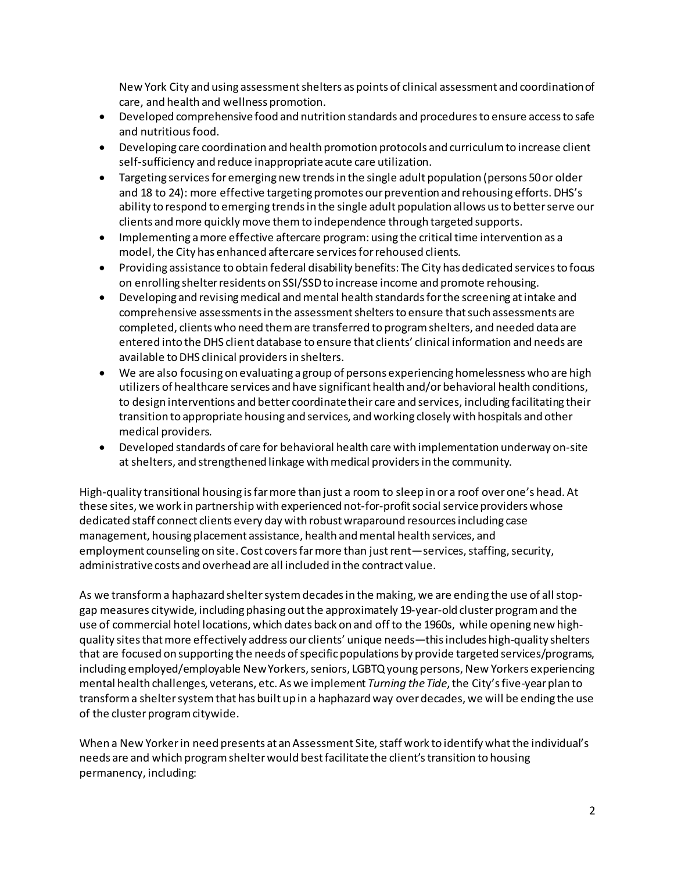New York City and using assessmentshelters as points of clinical assessment and coordinationof care, and health and wellness promotion.

- Developed comprehensivefood and nutrition standards and proceduresto ensure accessto safe and nutritious food.
- Developing care coordination and health promotion protocols and curriculum to increase client self-sufficiency and reduce inappropriate acute care utilization.
- Targeting services for emerging new trends in the single adult population (persons 50 or older and 18 to 24): more effective targeting promotes our prevention and rehousing efforts. DHS's ability to respond to emerging trendsin the single adult population allows usto betterserve our clients andmore quicklymove themto independence through targeted supports.
- Implementing amore effective aftercare program: using the critical time intervention as a model, the City has enhanced aftercare services for rehoused clients.
- Providing assistance to obtain federal disability benefits: The City has dedicated servicesto focus on enrolling shelterresidents on SSI/SSDto increase income and promote rehousing.
- Developing and revising medical and mental health standards for the screening at intake and comprehensive assessmentsin the assessmentsheltersto ensure thatsuch assessments are completed, clients who need themare transferred to programshelters, and needed data are entered into the DHS client database to ensure that clients' clinical information and needs are available toDHS clinical providersin shelters.
- We are also focusing on evaluating a group of persons experiencing homelessness who are high utilizers of healthcare services and have significant health and/orbehavioral health conditions, to design interventions and better coordinate their care and services, including facilitating their transition to appropriate housing and services, and working closely with hospitals and other medical providers.
- Developed standards of care for behavioral health care with implementation underway on‐site at shelters, and strengthened linkage with medical providers in the community.

High-quality transitional housing isfarmore than just a room to sleep in ora roof overone's head. At these sites, we work in partnership with experienced not-for-profit social service providers whose dedicated staff connect clients every day with robustwraparound resourcesincluding case management, housing placement assistance, health and mental health services, and employment counseling on site. Cost covers far more than just rent—services, staffing, security, administrative costs and overhead are all included in the contract value.

As we transform a haphazard shelter system decades in the making, we are ending the use of all stopgap measures citywide, including phasing outthe approximately 19-year-old clusterprogramand the use of commercial hotel locations, which dates back on and offto the 1960s, while opening new highquality sites that more effectively address our clients' unique needs—this includes high-quality shelters that are focused on supporting the needs of specific populations by provide targeted services/programs, including employed/employable New Yorkers, seniors, LGBTQ young persons, New Yorkers experiencing mental health challenges, veterans, etc. As we implement *Turning the Tide*,the City'sfive-yearplan to transforma sheltersystemthat has built up in a haphazard way overdecades, we will be ending the use of the cluster program citywide.

When a New Yorker in need presents at an Assessment Site, staff work to identify what the individual's needs are and which programshelterwould bestfacilitatethe client'stransition to housing permanency, including: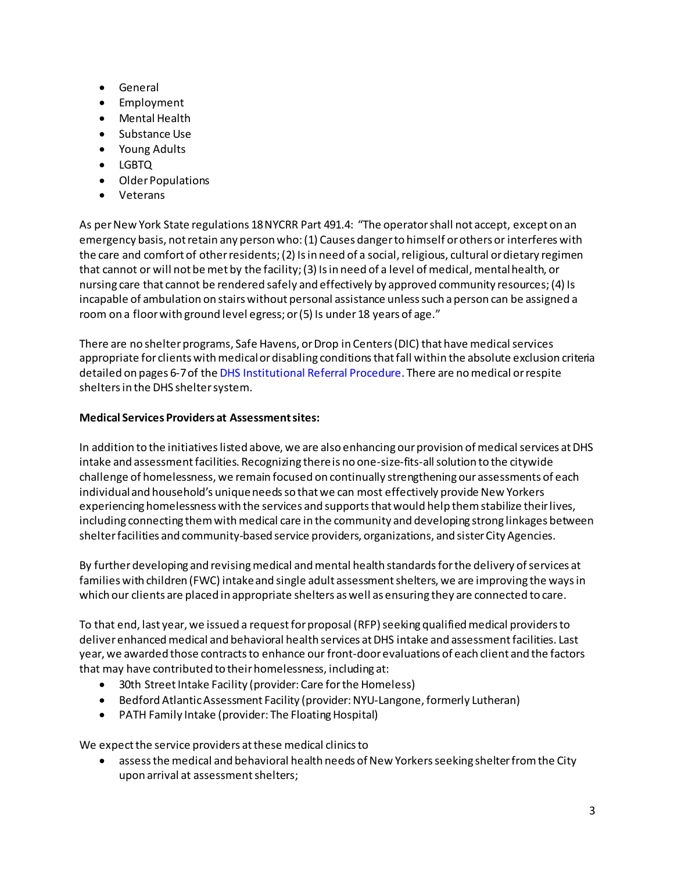- General
- Employment
- Mental Health
- Substance Use
- Young Adults
- LGBTQ
- OlderPopulations
- Veterans

As perNew York State regulations 18NYCRR Part 491.4: "The operatorshall not accept, except on an emergency basis, notretain any person who:(1) Causes dangerto himself orothers or interferes with the care and comfort of other residents; (2) Is in need of a social, religious, cultural or dietary regimen that cannot or will not be met by the facility; (3) Is in need of a level of medical, mental health, or nursing care that cannot be rendered safely and effectively by approved community resources;(4) Is incapable of ambulation on stairs without personal assistance unlesssuch aperson can be assigned a room on a floorwith ground level egress; or(5) Is under 18 years of age."

There are no shelter programs, Safe Havens, or Drop in Centers (DIC) that have medical services appropriate for clients with medical or disabling conditions that fall within the absolute exclusion criteria detailed on pages 6-7of the DHS [Institutional](https://www1.nyc.gov/assets/dhs/downloads/pdf/DHS-%20Institutional_referral_procedure_7182018.pdf) Referral Procedure. There are nomedical orrespite sheltersin the DHS sheltersystem.

## **Medical Services Providers at Assessmentsites:**

In addition to the initiatives listed above, we are also enhancing our provision of medical services at DHS intake and assessmentfacilities. Recognizing thereis no one-size-fits-allsolution to the citywide challenge of homelessness, we remain focused on continually strengthening our assessments of each individualand household's uniqueneedsso thatwe can most effectively provide New Yorkers experiencing homelessness with the services and supportsthatwould help themstabilize theirlives, including connecting them with medical care in the community and developing strong linkages between shelterfacilities and community-based service providers, organizations, and sisterCity Agencies.

By further developing and revising medical and mental health standards for the delivery of services at families with children (FWC) intake and single adult assessment shelters, we are improving the ways in which our clients are placed in appropriate shelters aswell as ensuring they are connected to care.

To that end, last year, we issued a request for proposal (RFP) seeking qualified medical providers to deliver enhancedmedical and behavioral health services atDHS intake and assessmentfacilities. Last year, we awarded those contracts to enhance our front-door evaluations of each client and the factors that may have contributed to their homelessness, including at:

- 30th Street Intake Facility (provider: Care for the Homeless)
- Bedford AtlanticAssessment Facility (provider:NYU-Langone, formerly Lutheran)
- PATH Family Intake (provider: The Floating Hospital)

We expect the service providers at these medical clinics to

• assessthe medical and behavioral health needs of New Yorkersseeking shelterfromthe City upon arrival at assessmentshelters;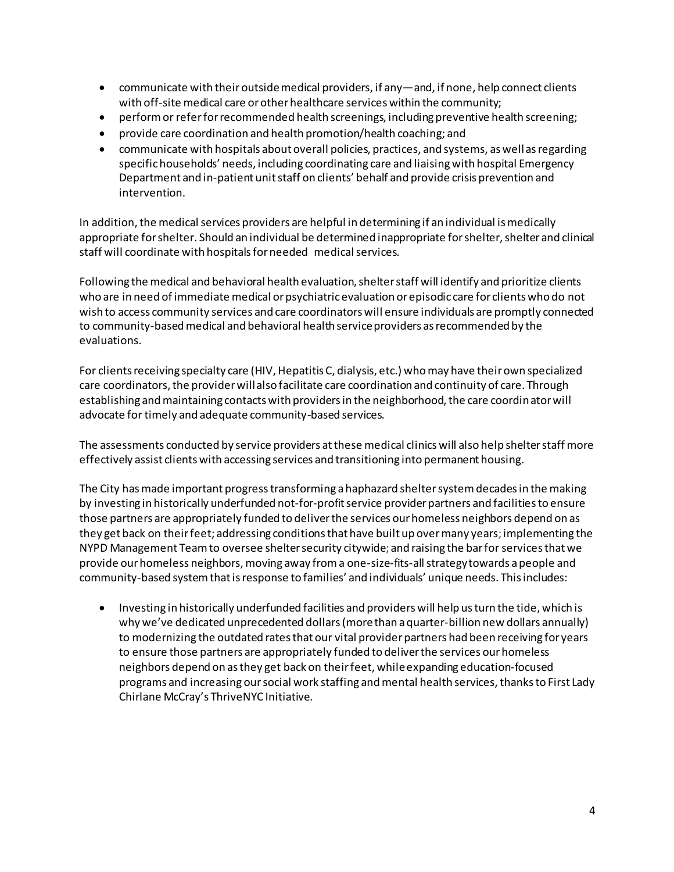- communicate with theiroutsidemedical providers, if any—and, if none, help connect clients with off-site medical care or other healthcare services within the community;
- perform or refer for recommended health screenings, including preventive health screening;
- provide care coordination and health promotion/health coaching; and
- communicate with hospitals about overall policies, practices, and systems, aswellasregarding specifichouseholds' needs, including coordinating care and liaisingwith hospital Emergency Department and in-patient unitstaff on clients' behalf and provide crisis prevention and intervention.

In addition, the medical services providers are helpful in determining if an individual is medically appropriate for shelter. Should an individual be determined inappropriate for shelter, shelter and clinical staff will coordinate with hospitals for needed medical services.

Following the medical and behavioral health evaluation, shelter staff will identify and prioritize clients who are in need of immediate medical or psychiatric evaluation or episodic care for clients who do not wish to access community services and care coordinators will ensure individuals are promptly connected to community-based medical and behavioral health service providers as recommended by the evaluations.

For clients receiving specialty care (HIV, Hepatitis C, dialysis, etc.) who may have their own specialized care coordinators, the provider will also facilitate care coordination and continuity of care. Through establishing and maintaining contacts with providers in the neighborhood, the care coordinator will advocate for timely and adequate community-based services.

The assessments conducted by service providers at these medical clinics will also help shelter staff more effectively assist clients with accessing services and transitioning into permanent housing.

The City has made important progress transforming a haphazard shelter system decades in the making by investing in historically underfunded not-for-profit service provider partners and facilities to ensure those partners are appropriately funded to deliverthe services ourhomeless neighbors depend on as they get back on theirfeet; addressing conditionsthat have built up overmany years;implementing the NYPD Management Team to oversee shelter security citywide; and raising the bar for services that we provide our homeless neighbors, moving away from a one-size-fits-all strategy towards a people and community-based systemthatisresponse to families' and individuals' unique needs. Thisincludes:

• Investing in historically underfunded facilities and providers will help us turn the tide, which is why we've dedicated unprecedented dollars (more than a quarter-billion new dollars annually) to modernizing the outdated rates that our vital provider partners had been receiving for years to ensure those partners are appropriately funded to deliverthe services ourhomeless neighbors depend on asthey get back on theirfeet, whileexpanding education-focused programs and increasing our social work staffing and mental health services, thanks to First Lady Chirlane McCray's ThriveNYC Initiative.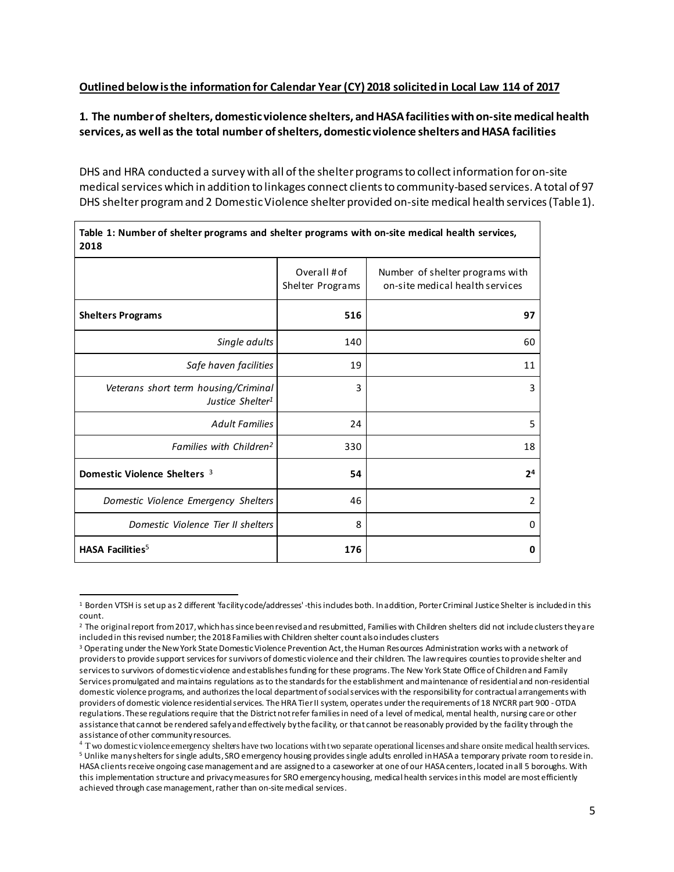## **Outlined belowisthe information for Calendar Year (CY) 2018 solicited in Local Law 114 of 2017**

## **1. The numberof shelters, domestic violence shelters, andHASAfacilitieswithon-site medical health services, as well as the total number ofshelters, domestic violence shelters andHASA facilities**

DHS and HRA conducted a survey with all of the shelter programs to collect information for on-site medical services which in addition to linkages connect clients to community-based services. A total of 97 DHS shelter program and 2 Domestic Violence shelter provided on-site medical health services (Table 1).

| 2018                                                                 |                                  |                                                                    |
|----------------------------------------------------------------------|----------------------------------|--------------------------------------------------------------------|
|                                                                      | Overall # of<br>Shelter Programs | Number of shelter programs with<br>on-site medical health services |
| <b>Shelters Programs</b>                                             | 516                              | 97                                                                 |
| Single adults                                                        | 140                              | 60                                                                 |
| Safe haven facilities                                                | 19                               | 11                                                                 |
| Veterans short term housing/Criminal<br>Justice Shelter <sup>1</sup> | 3                                | 3                                                                  |
| <b>Adult Families</b>                                                | 24                               | 5                                                                  |
| Families with Children <sup>2</sup>                                  | 330                              | 18                                                                 |
| Domestic Violence Shelters 3                                         | 54                               | 2 <sup>4</sup>                                                     |
| Domestic Violence Emergency Shelters                                 | 46                               | 2                                                                  |
| Domestic Violence Tier II shelters                                   | 8                                | $\Omega$                                                           |
| HASA Facilities <sup>5</sup>                                         | 176                              | 0                                                                  |

### **Table 1: Number of shelter programs and shelter programs with on-site medical health services, 2018**

 $\overline{a}$ <sup>1</sup> Borden VTSH is setup as 2 different 'facility code/addresses' -this includes both. In addition, Porter Criminal Justice Shelter is included in this count.

<sup>&</sup>lt;sup>2</sup> The original report from 2017, which has since been revised and resubmitted, Families with Children shelters did not include clusters they are includedin thisrevised number; the 2018 Families with Children shelter count alsoincludes clusters

<sup>&</sup>lt;sup>3</sup> Operating under the New York State Domestic Violence Prevention Act, the Human Resources Administration works with a network of providersto provide support servicesfor survivors of domestic violence and their children. The lawrequires countiestoprovide shelter and services to survivors of domestic violence and establishes funding for these programs. The New York State Office of Children and Family Services promulgated and maintains regulations asto the standardsfor the establishment andmaintenance ofresidential and non‐residential domestic violence programs, and authorizesthe local departmentofsocialservices with the responsibility for contractual arrangements with providers of domestic violence residential services. The HRA Tier II system, operates under the requirements of 18 NYCRR part 900 - OTDA regulations. These regulations require that the District not refer families in need of a level of medical, mental health, nursing care or other assistance that cannot be rendered safelyandeffectively bythe facility, or that cannot be reasonably provided by the facility through the assistance of other communityresources.

 $4$  Two domestic violence emergency shelters have two locations with two separate operational licenses and share onsite medical health services. <sup>5</sup> Unlike manysheltersfor single adults, SROemergency housing providessingle adults enrolled inHASA a temporary private room toreside in. HASA clients receive ongoing case management and are assigned to a caseworker at one of our HASA centers, located inall 5 boroughs. With this implementation structure and privacy measures for SRO emergency housing, medical health services in this model are most efficiently achieved through case management, rather than on-site medical services.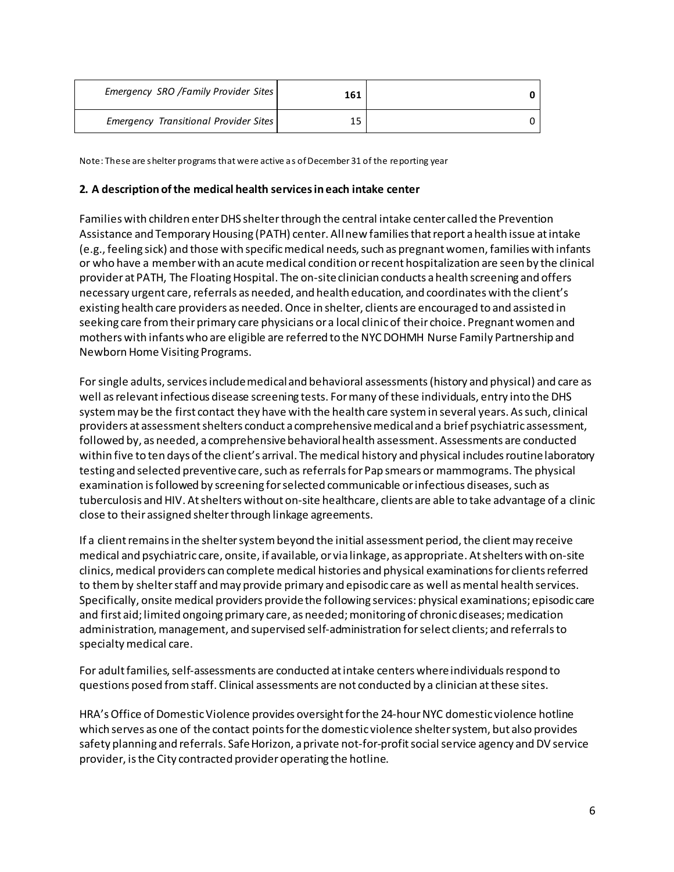| Emergency SRO /Family Provider Sites  | 161 |  |
|---------------------------------------|-----|--|
| Emergency Transitional Provider Sites |     |  |

Note: These are shelter programs that were active as ofDecember 31 of the reporting year

### **2. A description ofthe medical health servicesineach intake center**

Families with children enterDHS shelterthrough the central intake center called the Prevention Assistance and Temporary Housing (PATH) center. All new families that report a health issue at intake (e.g., feeling sick) and those with specific medical needs, such as pregnant women, families with infants or who have a memberwith an acute medical condition orrecent hospitalization are seen by the clinical provider at PATH, The Floating Hospital. The on-site clinician conducts a health screening and offers necessary urgent care, referrals as needed, and health education, and coordinates with the client's existing health care providers as needed.Once in shelter, clients are encouraged to and assisted in seeking care fromtheirprimary care physicians or a local clinicof their choice. Pregnantwomen and mothers with infants who are eligible are referred to the NYCDOHMH Nurse Family Partnership and Newborn Home Visiting Programs.

For single adults, services include medical and behavioral assessments (history and physical) and care as well asrelevantinfectious disease screening tests. Formany ofthese individuals, entry into the DHS systemmay be the first contact they have with the health care systemin several years. Assuch, clinical providers at assessmentshelters conduct a comprehensivemedicaland a brief psychiatric assessment, followed by, as needed, a comprehensivebehavioralhealth assessment. Assessments are conducted within five to ten days of the client's arrival. The medical history and physical includes routine laboratory testing and selected preventive care, such as referrals for Pap smears or mammograms. The physical examination is followed by screening for selected communicable or infectious diseases, such as tuberculosis andHIV. Atshelters without on‐site healthcare, clients are able to take advantage of a clinic close to their assigned shelterthrough linkage agreements.

If a client remains in the shelter system beyond the initial assessment period, the client may receive medical and psychiatric care, onsite, if available, or via linkage, as appropriate. Atshelters with on‐site clinics, medical providers can complete medical histories and physical examinations for clients referred to them by shelter staff and may provide primary and episodic care as well as mental health services. Specifically, onsite medical providers providethe following services: physical examinations; episodic care and first aid; limited ongoing primary care, as needed; monitoring of chronic diseases; medication administration, management, and supervised self‐administration forselect clients; and referralsto specialtymedical care.

For adult families, self-assessments are conducted at intake centers where individuals respond to questions posed fromstaff. Clinical assessments are not conducted by a clinician atthese sites.

HRA's Office of Domestic Violence provides oversight for the 24-hour NYC domestic violence hotline which serves as one of the contact pointsforthe domestic violence sheltersystem, but also provides safety planning and referrals. Safe Horizon, a private not-for-profit social service agency and DV service provider, isthe City contracted provideroperating the hotline.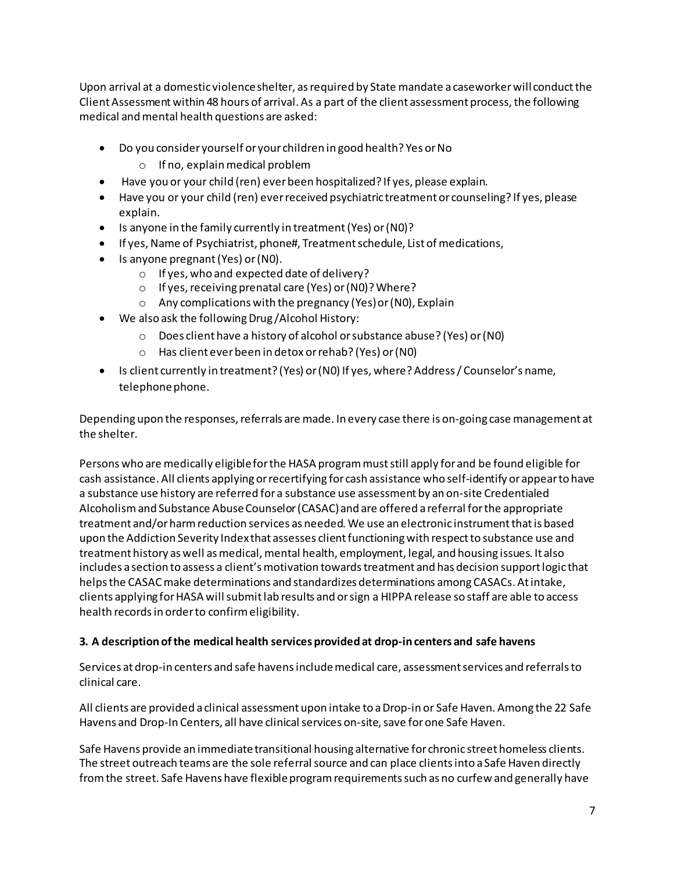Upon arrival at a domestic violence shelter, as required by State mandate a caseworker will conduct the Client Assessment within 48 hours of arrival. As a part of the client assessment process, the following medical and mental health questions are asked:

- Do you consider yourself or your children in good health? Yes or No
	- $\circ$  If no, explain medical problem
- Have you or your child (ren) everbeen hospitalized? If yes, please explain.
- Have you or your child (ren) everreceived psychiatric treatment or counseling? If yes, please explain.
- Is anyone in the family currently in treatment(Yes) or(N0)?
- If yes, Name of Psychiatrist, phone#, Treatment schedule, List of medications,
- Is anyone pregnant(Yes) or(N0).
	- o If yes, who and expected date of delivery?
	- o If yes,receiving prenatal care (Yes) or(N0)?Where?
	- o Any complications with the pregnancy (Yes)or(N0), Explain
- We also ask the following Drug/Alcohol History:
	- o Does client have a history of alcohol orsubstance abuse? (Yes) or(N0)
	- o Has client everbeen in detox orrehab? (Yes) or(N0)
- Is client currently in treatment? (Yes) or (N0) If yes, where? Address / Counselor's name, telephone phone.

Depending upon the responses, referrals are made. In every case there is on-going case management at the shelter.

Persons who are medically eligibleforthe HASA programmuststill apply for and be found eligible for cash assistance. All clients applying orrecertifying for cash assistance who self-identify orappearto have a substance use history are referred for a substance use assessment by an on-site Credentialed Alcoholismand Substance AbuseCounselor(CASAC)and are offered a referral forthe appropriate treatment and/orharmreduction services as needed. We use an electronic instrumentthatis based upon the Addiction Severity Index that assesses client functioning with respect to substance use and treatment history as well as medical, mental health, employment, legal, and housing issues. It also includes a section to assess a client's motivation towards treatment and has decision support logic that helpsthe CASACmake determinations and standardizes determinations among CASACs. Atintake, clients applying for HASA will submit lab results and or sign a HIPPA release so staff are able to access health recordsin orderto confirmeligibility.

# **3. A description ofthe medical health services provided at drop-incenters and safe havens**

Services at drop-in centers and safe havens include medical care, assessment services and referrals to clinical care.

All clients are provided a clinical assessment upon intake to aDrop‐in or Safe Haven. Among the 22 Safe Havens and Drop-In Centers, all have clinical services on-site, save for one Safe Haven.

Safe Havens provide an immediatetransitional housing alternative for chronic street homeless clients. The street outreach teams are the sole referral source and can place clients into a Safe Haven directly from the street. Safe Havens have flexible program requirements such as no curfew and generally have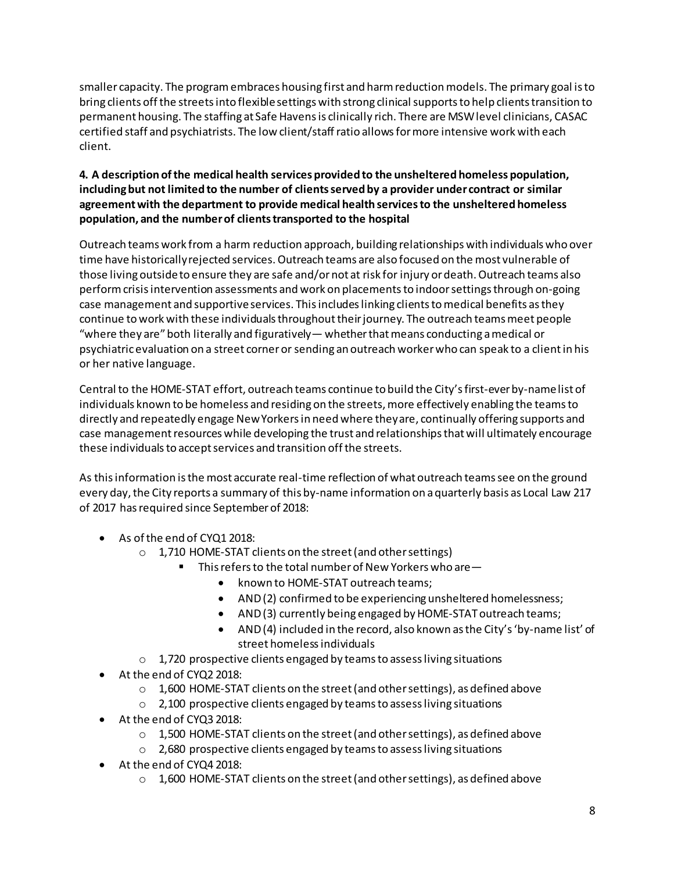smaller capacity. The programembraces housing first and harmreductionmodels. The primary goal isto bring clients off the streets into flexible settings with strong clinical supports to help clients transition to permanent housing. The staffing at Safe Havensis clinically rich. There are MSWlevel clinicians, CASAC certified staff and psychiatrists. The low client/staffratio allowsformore intensive work with each client.

## **4. A description ofthe medical health services provided to the unsheltered homeless population, includingbut not limited to the number of clientsservedby a provider under contract or similar agreementwith the department to provide medical health servicesto the unsheltered homeless population, and the numberof clientstransported to the hospital**

Outreach teams work from a harm reduction approach, building relationships with individuals who over time have historically rejected services. Outreach teams are also focused on the most vulnerable of those living outside to ensure they are safe and/or not at risk for injury or death. Outreach teams also perform crisis intervention assessments and work on placements to indoor settings through on-going case management and supportive services. This includes linking clients to medical benefits as they continue to work with these individuals throughout their journey. The outreach teams meet people "where they are" both literally and figuratively — whether that means conducting a medical or psychiatricevaluation on a street cornerorsending an outreach workerwho can speak to a clientin his or her native language.

Central to the HOME-STAT effort, outreach teams continue to build the City'sfirst-everby-namelist of individuals known to be homeless and residing on the streets, more effectively enabling the teams to directly and repeatedly engage NewYorkersin need where theyare, continually offering supports and case management resources while developing the trust and relationships that will ultimately encourage these individuals to accept services and transition off the streets.

As thisinformation isthe most accurate real-time reflection of what outreach teamssee on the ground every day, the City reports a summary of this by-name information on a quarterly basis as Local Law 217 of 2017 has required since September of 2018:

- As ofthe end of CYQ1 2018:
	- o 1,710 HOME-STAT clients on the street(and othersettings)
		- This refers to the total number of New Yorkers who are—
			- known to HOME-STAT outreach teams;
			- AND(2) confirmed to be experiencing unsheltered homelessness;
			- AND(3) currently being engaged by HOME-STAT outreach teams;
			- AND(4) included in the record, also known as the City's 'by-name list' of street homelessindividuals
	- o 1,720 prospective clients engaged by teamsto assessliving situations
- At the end of CYQ2 2018:
	- o 1,600 HOME-STAT clients on the street(and othersettings), as defined above
	- o 2,100 prospective clients engaged by teamsto assessliving situations
- At the end of CYQ3 2018:
	- $\circ$  1,500 HOME-STAT clients on the street (and other settings), as defined above
	- o 2,680 prospective clients engaged by teamsto assessliving situations
- At the end of CYQ4 2018:
	- $\circ$  1,600 HOME-STAT clients on the street (and other settings), as defined above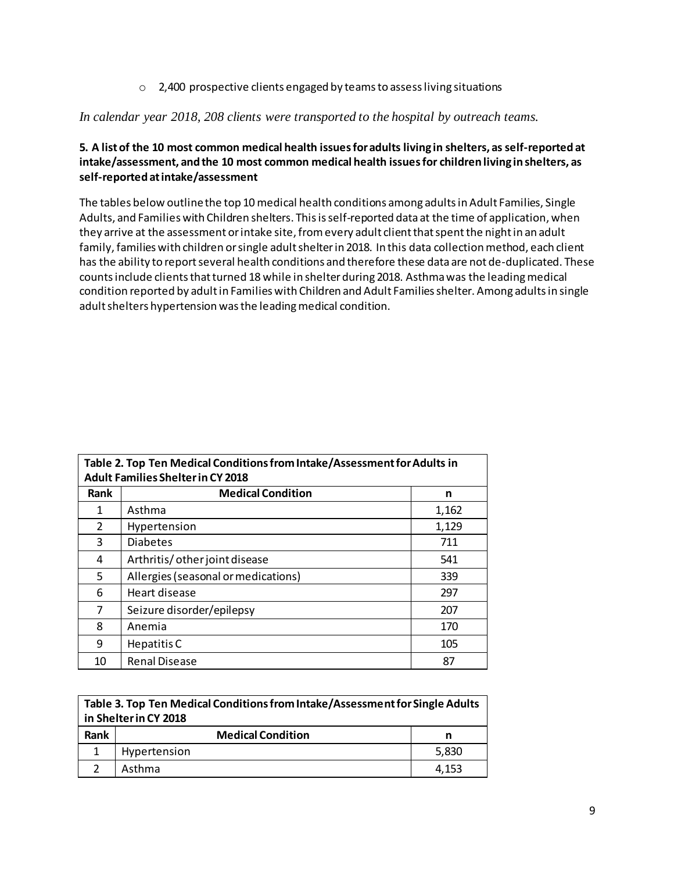o 2,400 prospective clients engaged by teamsto assessliving situations

## *In calendar year 2018, 208 clients were transported to the hospital by outreach teams.*

## **5. A listof the 10 most common medical health issuesforadults living in shelters, as self-reported at intake/assessment, andthe 10 most common medical health issuesfor children living inshelters, as self-reported atintake/assessment**

The tables below outline the top 10 medical health conditions among adults in Adult Families, Single Adults, and Families with Children shelters. Thisisself-reported data at the time of application, when they arrive at the assessment or intake site, from every adult client that spent the night in an adult family, families with children or single adult shelter in 2018. In this data collection method, each client has the ability to report several health conditions and therefore these data are not de-duplicated. These counts include clients that turned 18 while in shelter during 2018. Asthma was the leading medical condition reported by adult in Families with Children and Adult Families shelter. Among adults in single adult shelters hypertension was the leading medical condition.

| Table 2. Top Ten Medical Conditions from Intake/Assessment for Adults in<br><b>Adult Families Shelter in CY 2018</b> |                                     |       |  |  |
|----------------------------------------------------------------------------------------------------------------------|-------------------------------------|-------|--|--|
| Rank                                                                                                                 | <b>Medical Condition</b><br>n       |       |  |  |
| 1                                                                                                                    | Asthma                              | 1,162 |  |  |
| $\mathcal{P}$                                                                                                        | Hypertension                        | 1,129 |  |  |
| 3                                                                                                                    | <b>Diabetes</b>                     | 711   |  |  |
| 4                                                                                                                    | Arthritis/ other joint disease      | 541   |  |  |
| 5.                                                                                                                   | Allergies (seasonal or medications) | 339   |  |  |
| 6                                                                                                                    | Heart disease                       | 297   |  |  |
| 7                                                                                                                    | Seizure disorder/epilepsy           | 207   |  |  |
| 8                                                                                                                    | Anemia                              | 170   |  |  |
| 9                                                                                                                    | Hepatitis C                         | 105   |  |  |
| 10                                                                                                                   | <b>Renal Disease</b>                | 87    |  |  |

| Table 3. Top Ten Medical Conditions from Intake/Assessment for Single Adults<br>in Shelter in CY 2018 |                               |       |  |  |  |
|-------------------------------------------------------------------------------------------------------|-------------------------------|-------|--|--|--|
| Rank                                                                                                  | <b>Medical Condition</b><br>n |       |  |  |  |
|                                                                                                       | Hypertension                  | 5,830 |  |  |  |
|                                                                                                       | Asthma                        | 4.153 |  |  |  |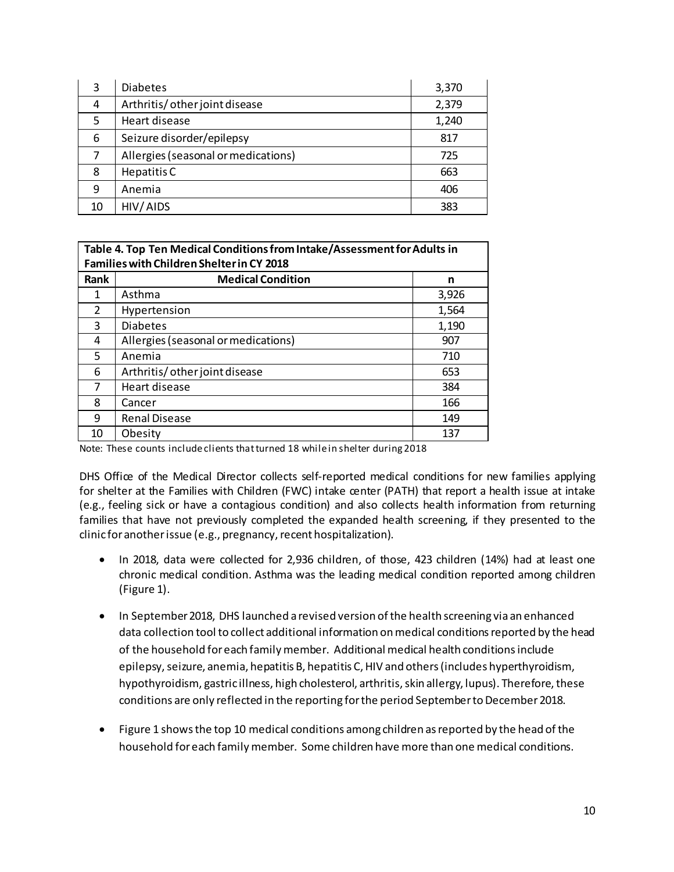| 3  | <b>Diabetes</b>                     | 3,370 |
|----|-------------------------------------|-------|
| 4  | Arthritis/ other joint disease      | 2,379 |
| 5  | Heart disease                       | 1,240 |
| 6  | Seizure disorder/epilepsy           | 817   |
| 7  | Allergies (seasonal or medications) | 725   |
| 8  | Hepatitis C                         | 663   |
| 9  | Anemia                              | 406   |
| 10 | HIV/AIDS                            | 383   |

| Table 4. Top Ten Medical Conditions from Intake/Assessment for Adults in<br><b>Families with Children Shelter in CY 2018</b> |                                     |       |  |  |  |
|------------------------------------------------------------------------------------------------------------------------------|-------------------------------------|-------|--|--|--|
| <b>Rank</b>                                                                                                                  | <b>Medical Condition</b><br>n       |       |  |  |  |
| 1                                                                                                                            | Asthma                              | 3,926 |  |  |  |
| 2                                                                                                                            | Hypertension                        | 1,564 |  |  |  |
| 3                                                                                                                            | <b>Diabetes</b>                     | 1,190 |  |  |  |
| 4                                                                                                                            | Allergies (seasonal or medications) | 907   |  |  |  |
| 5                                                                                                                            | Anemia                              | 710   |  |  |  |
| 6                                                                                                                            | Arthritis/ other joint disease      | 653   |  |  |  |
| 7                                                                                                                            | Heart disease                       | 384   |  |  |  |
| 8                                                                                                                            | Cancer                              | 166   |  |  |  |
| 9                                                                                                                            | <b>Renal Disease</b>                | 149   |  |  |  |
| 10                                                                                                                           | Obesity                             | 137   |  |  |  |

Note: These counts include clients that turned 18 while in shelter during 2018

DHS Office of the Medical Director collects self-reported medical conditions for new families applying for shelter at the Families with Children (FWC) intake center (PATH) that report a health issue at intake (e.g., feeling sick or have a contagious condition) and also collects health information from returning families that have not previously completed the expanded health screening, if they presented to the clinic for another issue (e.g., pregnancy, recent hospitalization).

- In 2018, data were collected for 2,936 children, of those, 423 children (14%) had at least one chronic medical condition. Asthma was the leading medical condition reported among children (Figure 1).
- In September 2018, DHS launched a revised version ofthe health screening via an enhanced data collection tool to collect additional information onmedical conditionsreported by the head of the household foreach familymember. Additional medical health conditionsinclude epilepsy, seizure, anemia, hepatitis B, hepatitis C, HIV and others (includes hyperthyroidism, hypothyroidism, gastric illness, high cholesterol, arthritis, skin allergy, lupus). Therefore, these conditions are only reflected in the reporting for the period September to December 2018.
- Figure 1 shows the top 10 medical conditions among children as reported by the head of the household foreach familymember. Some children have more than one medical conditions.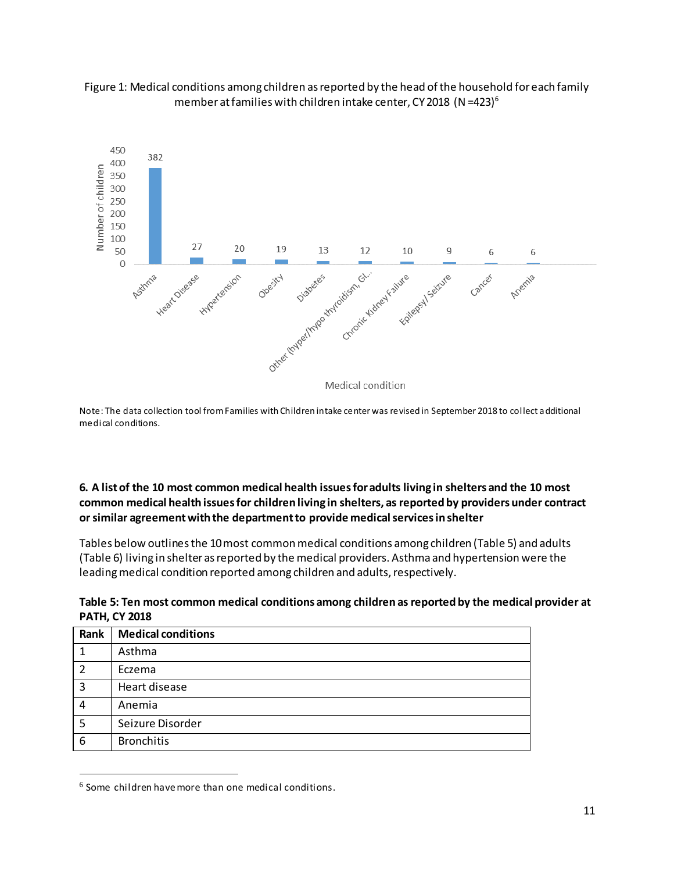



Note: The data collection tool fromFamilies with Children intake center was revised in September 2018 to collect additional medical conditions.

## **6. A listof the 10 most common medical health issuesforadults living in shelters and the 10 most common medical health issuesfor children living in shelters, as reported by providers under contract orsimilar agreementwiththe departmentto provide medicalservicesinshelter**

Tables below outlines the 10 most common medical conditions among children (Table 5) and adults (Table 6) living in shelter as reported by the medical providers. Asthma and hypertension were the leading medical condition reported among children and adults, respectively.

| Table 5: Ten most common medical conditions among children as reported by the medical provider at |  |
|---------------------------------------------------------------------------------------------------|--|
| <b>PATH, CY 2018</b>                                                                              |  |

| Rank | <b>Medical conditions</b> |
|------|---------------------------|
| 1    | Asthma                    |
| 2    | Eczema                    |
| 3    | Heart disease             |
| 4    | Anemia                    |
| 5    | Seizure Disorder          |
| 6    | <b>Bronchitis</b>         |

<sup>6</sup> Some children havemore than one medical conditions.

l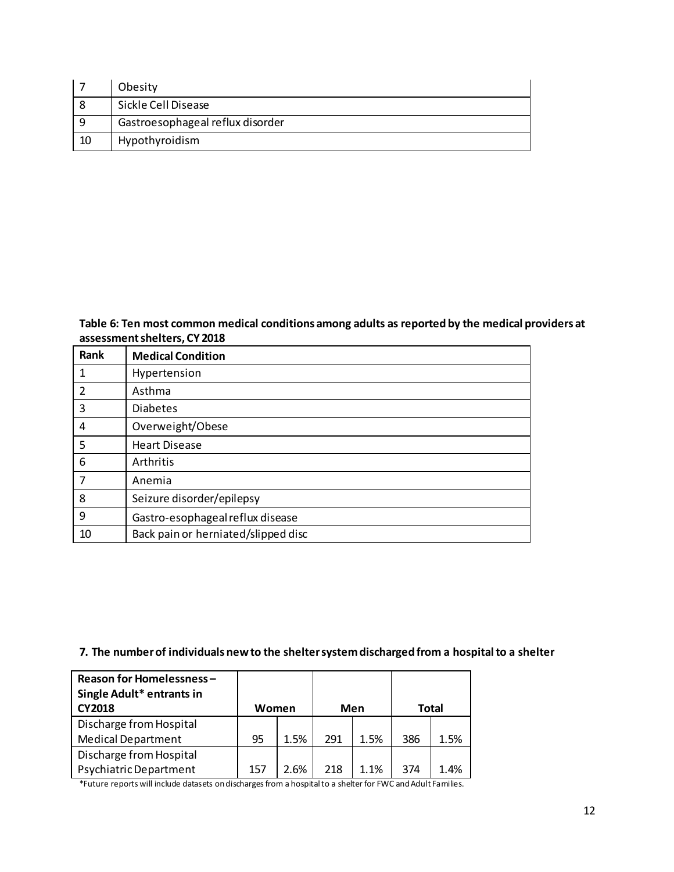|    | Obesity                          |
|----|----------------------------------|
|    | Sickle Cell Disease              |
| q  | Gastroesophageal reflux disorder |
| 10 | Hypothyroidism                   |

**Table 6: Ten most common medical conditions among adults as reported by the medical providers at assessmentshelters, CY 2018**

| Rank | <b>Medical Condition</b>            |
|------|-------------------------------------|
| 1    | Hypertension                        |
| 2    | Asthma                              |
| 3    | <b>Diabetes</b>                     |
| 4    | Overweight/Obese                    |
| 5    | <b>Heart Disease</b>                |
| 6    | Arthritis                           |
| 7    | Anemia                              |
| 8    | Seizure disorder/epilepsy           |
| 9    | Gastro-esophageal reflux disease    |
| 10   | Back pain or herniated/slipped disc |

## **7. The numberof individuals newto the sheltersystemdischargedfrom a hospitalto a shelter**

| <b>Reason for Homelessness-</b><br>Single Adult* entrants in<br><b>CY2018</b><br>Women |     |      |     | Men  | <b>Total</b> |      |
|----------------------------------------------------------------------------------------|-----|------|-----|------|--------------|------|
| Discharge from Hospital                                                                |     |      |     |      |              |      |
| <b>Medical Department</b>                                                              | 95  | 1.5% | 291 | 1.5% | 386          | 1.5% |
| Discharge from Hospital                                                                |     |      |     |      |              |      |
| Psychiatric Department                                                                 | 157 | 2.6% | 218 | 1.1% | 374          | 1.4% |

\*Future reports will include datasets ondischargesfrom a hospitalto a shelter for FWC andAdult Families.